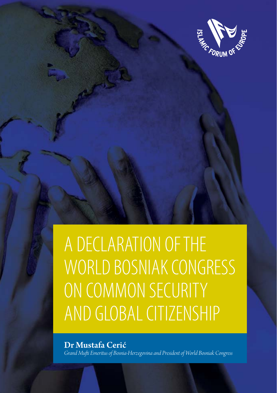

# A DECLARATION OF THE WORLD BOSNIAK CONGRESS ON COMMON SECURITY AND GLOBAL CITIZENSHIP

Dr Mustafa Cerić *Grand Muft i Emeritus of Bosnia-Herzegovina and President of World Bosniak Congress*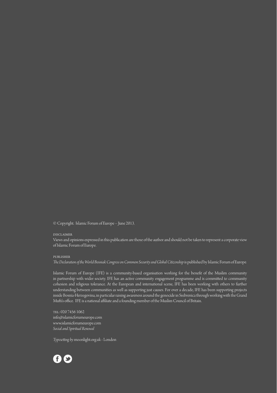© Copyright. Islamic Forum of Europe – June 2013.

#### disclaimer

Views and opinions expressed in this publication are those of the author and should not be taken to represent a corporate view of Islamic Forum of Europe.

#### publisher

*The Declaration of the World Bosniak Congress on Common Security and Global Citizenship* is published by Islamic Forum of Europe.

Islamic Forum of Europe (IFE) is a community-based organisation working for the benefi t of the Muslim community in partnership with wider society. IFE has an active community engagement programme and is committed to community cohesion and religious tolerance. At the European and international scene, IFE has been working with others to further understanding between communities as well as supporting just causes. For over a decade, IFE has been supporting projects inside Bosnia-Herzegovina, in particular raising awareness around the genocide in Srebrenica through working with the Grand Mufti's office. IFE is a national affiliate and a founding member of the Muslim Council of Britain.

tel: 020 7456 1062 info@islamicforumeurope.com www.islamicforumeurope.com *Social and Spiritual Renewal*

*Typesett ing by* moonlight.org.uk - London

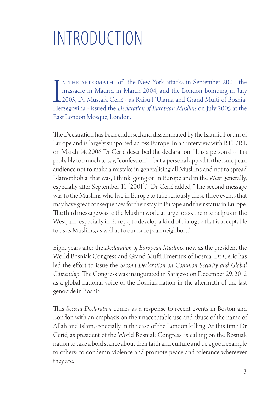## INTRODUCTION

IN THE AFTERMATH of the New York attacks in September 2001, the massacre in Madrid in March 2004, and the London bombing in July 2005, Dr Mustafa Cerić - as Raisu-l-'Ulama and Grand Mufti of Bosnia-Herzegovina - issued the n the aftermath of the New York att acks in September 2001, the massacre in Madrid in March 2004, and the London bombing in July 2005, Dr Mustafa Cerić - as Raisu-l-'Ulama and Grand Muft i of Bosnia-East London Mosque, London.

The Declaration has been endorsed and disseminated by the Islamic Forum of Europe and is largely supported across Europe. In an interview with RFE/RL on March 14, 2006 Dr Cerić described the declaration: "It is a personal -- it is probably too much to say, "confession" -- but a personal appeal to the European audience not to make a mistake in generalising all Muslims and not to spread Islamophobia, that was, I think, going on in Europe and in the West generally, especially after September 11 [2001]." Dr Cerić added, "The second message was to the Muslims who live in Europe to take seriously these three events that may have great consequences for their stay in Europe and their status in Europe. The third message was to the Muslim world at large to ask them to help us in the West, and especially in Europe, to develop a kind of dialogue that is acceptable to us as Muslims, as well as to our European neighbors."

Eight years after the *Declaration of European Muslims*, now as the president the World Bosniak Congress and Grand Mufti Emeritus of Bosnia, Dr Cerić has led the effort to issue the *Second Declaration on Common Security and Global Citizenship.* The Congress was inaugurated in Sarajevo on December 29, 2012 as a global national voice of the Bosniak nation in the aftermath of the last genocide in Bosnia.

This *Second Declaration* comes as a response to recent events in Boston and London with an emphasis on the unacceptable use and abuse of the name of Allah and Islam, especially in the case of the London killing. At this time Dr Cerić, as president of the World Bosniak Congress, is calling on the Bosniak nation to take a bold stance about their faith and culture and be a good example to others: to condemn violence and promote peace and tolerance whereever they are.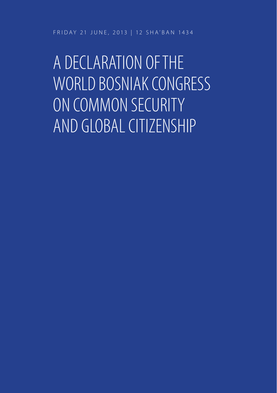FRIDAY 21 JUNE, 2013 | 12 SHA'BAN 1434

A DECLARATION OF THE WORLD BOSNIAK CONGRESS ON COMMON SECURITY AND GLOBAL CITIZENSHIP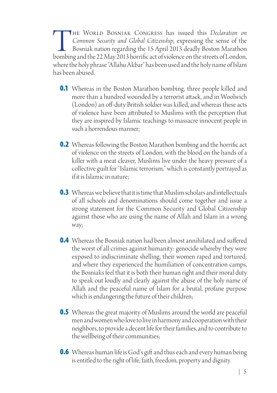THE WORLD BOSNIAK CONGRESS has issued this *Declaration on Common Security and Global Citizenship*, expressing the sense of the Bosniak nation regarding the 15 April 2013 deadly Boston Marathon bombing and the 22 May 2013 *Common Security and Global Citizenship*, expressing the sense of the Bosniak nation regarding the 15 April 2013 deadly Boston Marathon where the holy phrase "Allahu Akbar" has been used and the holy name of Islam has been abused.

- **0.1** Whereas in the Boston Marathon bombing, three people killed and more than a hundred wounded by a terrorist attack, and in Woolwich (London) an off -duty British soldier was killed, and whereas these acts of violence have been att ributed to Muslims with the perception that they are inspired by Islamic teachings to massacre innocent people in such a horrendous manner;
- **0.2** Whereas following the Boston Marathon bombing and the horrific act of violence on the streets of London, with the blood on the hands of a killer with a meat cleaver, Muslims live under the heavy pressure of a collective guilt for "Islamic terrorism," which is constantly portrayed as if it is Islamic in nature;
- **0.3** Whereas we believe that it is time that Muslim scholars and intellectuals of all schools and denominations should come together and issue a strong statement for the Common Security and Global Citizenship against those who are using the name of Allah and Islam in a wrong way;
- **0.4** Whereas the Bosniak nation had been almost annihilated and suffered the worst of all crimes against humanity: genocide whereby they were exposed to indiscriminate shelling, their women raped and tortured; and where they experienced the humiliation of concentration camps, the Bosniaks feel that it is both their human right and their moral duty to speak out loudly and clearly against the abuse of the holy name of Allah and the peaceful name of Islam for a brutal, profane purpose which is endangering the future of their children;
- **0.5** Whereas the great majority of Muslims around the world are peaceful men and women who love to live in harmony and cooperation with their neighbors, to provide a decent life for their families, and to contribute to the wellbeing of their communities;
- **0.6** Whereas human life is God's gift and thus each and every human being is entitled to the right of life, faith, freedom, property and dignity.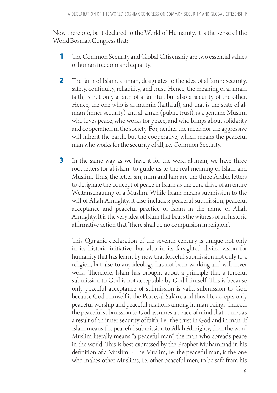Now therefore, be it declared to the World of Humanity, it is the sense of the World Bosniak Congress that:

- **1** The Common Security and Global Citizenship are two essential values of human freedom and equality.
- **2** The faith of Islam, al-īmān, designates to the idea of al-'amn: security, safety, continuity, reliability, and trust. Hence, the meaning of al-īmān, faith, is not only a faith of a faithful, but also a security of the other. Hence, the one who is al-mu'min (faithful), and that is the state of alīmān (inner security) and al-amān (public trust), is a genuine Muslim who loves peace, who works for peace, and who brings about solidarity and cooperation in the society. For, neither the meek nor the aggressive will inherit the earth, but the cooperative, which means the peaceful man who works for the security of all, i.e. Common Security.
- **3** In the same way as we have it for the word al-īmān, we have three root letters for al-islām to guide us to the real meaning of Islam and Muslim. Thus, the letter sīn, mīm and lām are the three Arabic letters to designate the concept of peace in Islam as the core drive of an entire Weltanschauung of a Muslim. While Islam means submission to the will of Allah Almighty, it also includes: peaceful submission, peaceful acceptance and peaceful practice of Islam in the name of Allah Almighty. It is the very idea of Islam that bears the witness of an historic affirmative action that "there shall be no compulsion in religion".

This Qur'anic declaration of the seventh century is unique not only in its historic initiative, but also in its farsighted divine vision for humanity that has learnt by now that forceful submission not only to a religion, but also to any ideology has not been working and will never work. Therefore, Islam has brought about a principle that a forceful submission to God is not acceptable by God Himself. This is because only peaceful acceptance of submission is valid submission to God because God Himself is the Peace, al-Salām, and thus He accepts only peaceful worship and peaceful relations among human beings. Indeed, the peaceful submission to God assumes a peace of mind that comes as a result of an inner security of faith, i.e., the trust in God and in man. If Islam means the peaceful submission to Allah Almighty, then the word Muslim literally means "a peaceful man", the man who spreads peace in the world. This is best expressed by the Prophet Muhammad in his definition of a Muslim: - The Muslim, i.e. the peaceful man, is the one who makes other Muslims, i.e. other peaceful men, to be safe from his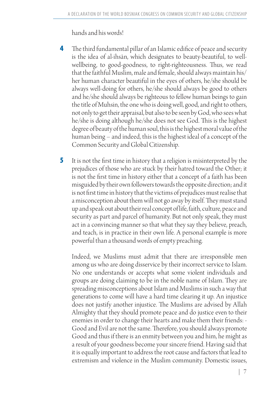hands and his words!

- **4** The third fundamental pillar of an Islamic edifice of peace and security is the idea of al-ihsān, which designates to beauty-beautiful, to wellwellbeing, to good-goodness, to right-righteousness. Thus, we read that the faithful Muslim, male and female, should always maintain his/ her human character beautiful in the eyes of others, he/she should be always well-doing for others, he/she should always be good to others and he/she should always be righteous to fellow human beings to gain the title of Muhsin, the one who is doing well, good, and right to others, not only to get their appraisal, but also to be seen by God, who sees what he/she is doing although he/she does not see God. This is the highest degree of beauty of the human soul, this is the highest moral value of the human being – and indeed, this is the highest ideal of a concept of the Common Security and Global Citizenship.
- **5** It is not the first time in history that a religion is misinterpreted by the prejudices of those who are stuck by their hatred toward the Other; it is not the first time in history either that a concept of a faith has been misguided by their own followers towards the opposite direction; and it is not first time in history that the victims of prejudices must realise that a misconception about them will not go away by itself. They must stand up and speak out about their real concept of life, faith, culture, peace and security as part and parcel of humanity. But not only speak, they must act in a convincing manner so that what they say they believe, preach, and teach, is in practice in their own life. A personal example is more powerful than a thousand words of empty preaching.

Indeed, we Muslims must admit that there are irresponsible men among us who are doing disservice by their incorrect service to Islam. No one understands or accepts what some violent individuals and groups are doing claiming to be in the noble name of Islam. They are spreading misconceptions about Islam and Muslims in such a way that generations to come will have a hard time clearing it up. An injustice does not justify another injustice. The Muslims are advised by Allah Almighty that they should promote peace and do justice even to their enemies in order to change their hearts and make them their friends: - Good and Evil are not the same. Therefore, you should always promote Good and thus if there is an enmity between you and him, he might as a result of your goodness become your sincere friend. Having said that it is equally important to address the root cause and factors that lead to extremism and violence in the Muslim community. Domestic issues,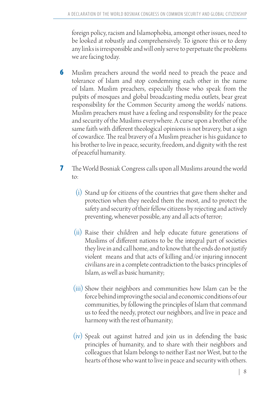foreign policy, racism and Islamophobia, amongst other issues, need to be looked at robustly and comprehensively. To ignore this or to deny any links is irresponsible and will only serve to perpetuate the problems we are facing today.

- **6** Muslim preachers around the world need to preach the peace and tolerance of Islam and stop condemning each other in the name of Islam. Muslim preachers, especially those who speak from the pulpits of mosques and global broadcasting media outlets, bear great responsibility for the Common Security among the worlds' nations. Muslim preachers must have a feeling and responsibility for the peace and security of the Muslims everywhere. A curse upon a brother of the same faith with different theological opinions is not bravery, but a sign of cowardice. The real bravery of a Muslim preacher is his guidance to his brother to live in peace, security, freedom, and dignity with the rest of peaceful humanity.
- **7** The World Bosniak Congress calls upon all Muslims around the world to:
	- (i) Stand up for citizens of the countries that gave them shelter and protection when they needed them the most, and to protect the safety and security of their fellow citizens by rejecting and actively preventing, whenever possible, any and all acts of terror;
	- (ii) Raise their children and help educate future generations of Muslims of different nations to be the integral part of societies they live in and call home, and to know that the ends do not justify violent means and that acts of killing and/or injuring innocent civilians are in a complete contradiction to the basics principles of Islam, as well as basic humanity;
	- (iii) Show their neighbors and communities how Islam can be the force behind improving the social and economic conditions of our communities, by following the principles of Islam that command us to feed the needy, protect our neighbors, and live in peace and harmony with the rest of humanity;
	- (iv) Speak out against hatred and join us in defending the basic principles of humanity, and to share with their neighbors and colleagues that Islam belongs to neither East nor West, but to the hearts of those who want to live in peace and security with others.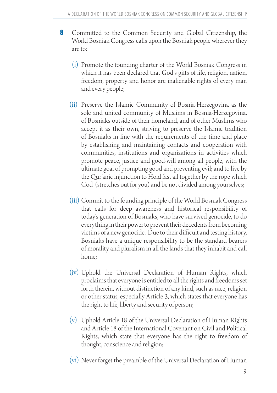- **8** Committed to the Common Security and Global Citizenship, the World Bosniak Congress calls upon the Bosniak people wherever they are to:
	- (i) Promote the founding charter of the World Bosniak Congress in which it has been declared that God's gifts of life, religion, nation, freedom, property and honor are inalienable rights of every man and every people;
	- (ii) Preserve the Islamic Community of Bosnia-Herzegovina as the sole and united community of Muslims in Bosnia-Herzegovina, of Bosniaks outside of their homeland, and of other Muslims who accept it as their own, striving to preserve the Islamic tradition of Bosniaks in line with the requirements of the time and place by establishing and maintaining contacts and cooperation with communities, institutions and organizations in activities which promote peace, justice and good-will among all people, with the ultimate goal of prompting good and preventing evil; and to live by the Qur'anic injunction to Hold fast all together by the rope which God (stretches out for you) and be not divided among yourselves;
	- (iii) Commit to the founding principle of the World Bosniak Congress that calls for deep awareness and historical responsibility of today's generation of Bosniaks, who have survived genocide, to do everything in their power to prevent their decedents from becoming victims of a new genocide. Due to their difficult and testing history, Bosniaks have a unique responsibility to be the standard bearers of morality and pluralism in all the lands that they inhabit and call home;
	- (iv) Uphold the Universal Declaration of Human Rights, which proclaims that everyone is entitled to all the rights and freedoms set forth therein, without distinction of any kind, such as race, religion or other status, especially Article 3, which states that everyone has the right to life, liberty and security of person;
	- (v) Uphold Article 18 of the Universal Declaration of Human Rights and Article 18 of the International Covenant on Civil and Political Rights, which state that everyone has the right to freedom of thought, conscience and religion;

(vi) Never forget the preamble of the Universal Declaration of Human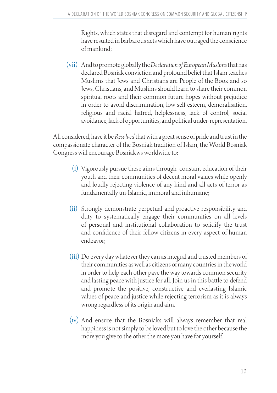Rights, which states that disregard and contempt for human rights have resulted in barbarous acts which have outraged the conscience of mankind;

(vii) And to promote globally the *Declaration of European Muslims* that has declared Bosniak conviction and profound belief that Islam teaches Muslims that Jews and Christians are People of the Book and so Jews, Christians, and Muslims should learn to share their common spiritual roots and their common future hopes without prejudice in order to avoid discrimination, low self-esteem, demoralisation, religious and racial hatred, helplessness, lack of control, social avoidance, lack of opportunities, and political under-representation.

All considered, have it be *Resolved* that with a great sense of pride and trust in the compassionate character of the Bosniak tradition of Islam, the World Bosniak Congress will encourage Bosniakws worldwide to:

- (i) Vigorously pursue these aims through constant education of their youth and their communities of decent moral values while openly and loudly rejecting violence of any kind and all acts of terror as fundamentally un-Islamic, immoral and inhumane;
- (ii) Strongly demonstrate perpetual and proactive responsibility and duty to systematically engage their communities on all levels of personal and institutional collaboration to solidify the trust and confidence of their fellow citizens in every aspect of human endeavor;
- (iii) Do every day whatever they can as integral and trusted members of their communities as well as citizens of many countries in the world in order to help each other pave the way towards common security and lasting peace with justice for all. Join us in this battle to defend and promote the positive, constructive and everlasting Islamic values of peace and justice while rejecting terrorism as it is always wrong regardless of its origin and aim.
- (iv) And ensure that the Bosniaks will always remember that real happiness is not simply to be loved but to love the other because the more you give to the other the more you have for yourself.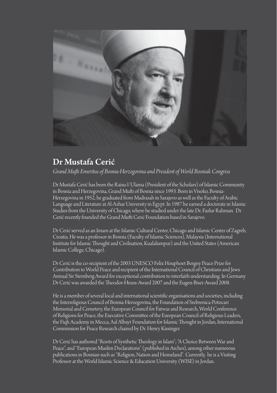

### Dr Mustafa Cerić

*Grand Muft i Emeritus of Bosnia-Herzegovina and President of World Bosniak Congress*

Dr Mustafa Cerić has been the Raisu-l-'Ulama (President of the Scholars) of Islamic Community in Bosnia and Herzegovina, Grand Mufti of Bosnia since 1993. Born in Visoko, Bosnia-Herzegovina in 1952, he graduated from Madrasah in Sarajevo as well as the Faculty of Arabic Language and Literature at Al-Azhar University in Egypt. In 1987 he earned a doctorate in Islamic Studies from the University of Chicago, where he studied under the late Dr. Fazlur Rahman. Dr Cerić recently founded the Grand Mufti Cerić Foundation based in Sarajevo.

Dr Cerić served as an Imam at the Islamic Cultural Center, Chicago and Islamic Center of Zagreb, Croatia. He was a professor in Bosnia (Faculty of Islamic Sciences), Malaysia (International Institute for Islamic Thought and Civilisation. Kualalumpur) and the United States (American Islamic College, Chicago).

Dr Cerić is the co-recipient of the 2003 UNESCO Felix Houphoet Boigny Peace Prize for Contribution to World Peace and recipient of the International Council of Christians and Jews Annual Sir Sternberg Award for exceptional contribution to interfaith understanding. In Germany Dr Cerić was awarded the Theodor-Heuss-Award 2007 and the Eugen-Biser-Award 2008.

He is a member of several local and international scientific organisations and societies, including the Interreligious Council of Bosnia-Herzegovina, the Foundation of Srebrenica-Potocari Memorial and Cemetery, the European Council for Fatwas and Research, World Conference of Religions for Peace, the Executive Committee of the European Council of Religious Leaders, the Fiqh Academy in Mecca, Aal Albayt Foundation for Islamic Thought in Jordan, International Commission for Peace Research chaired by Dr. Henry Kissinger.

Dr Cerić has authored "Roots of Synthetic Theology in Islam"; "A Choice Between War and Peace", and "European Muslim Declarations" (published in Arches), among other numerous publications in Bosnian such as "Religion, Nation and Homeland". Currently, he is a Visiting Professor at the World Islamic Science & Education University (WISE) in Jordan.